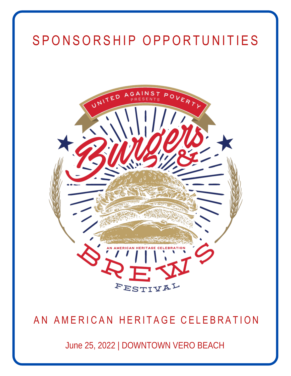# SPONSORSHIP OPPORTUNITIES



## AN AMERICAN HERITAGE CELEBRATION

June 25, 2022 | DOWNTOWN VERO BEACH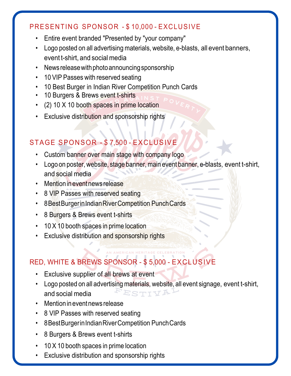#### PRESENTING SPONSOR - \$ 10,000 - EXCLUSIVE

- Entire event branded "Presented by "your company"
- Logo posted on all advertising materials, website, e-blasts, all event banners, event t-shirt, and social media
- News release with photo announcing sponsorship
- 10 VIP Passes with reserved seating
- 10 Best Burger in Indian River Competition Punch Cards
- 10 Burgers & Brews event t-shirts
- (2) 10 X 10 booth spaces in prime location
- Exclusive distribution and sponsorship rights

## STAGE SPONSOR - \$ 7,500 - EXCLUSIVE

- Custom banner over main stage with company logo
- Logo on poster, website, stage banner, main event banner, e-blasts, event t-shirt, and social media
- Mention in event news release
- 8 VIP Passes with reserved seating
- 8BestBurgerinIndianRiverCompetition PunchCards
- 8 Burgers & Brews event t-shirts
- 10 X 10 booth spaces in prime location
- Exclusive distribution and sponsorship rights

## RED, WHITE & BREWS SPONSOR - \$ 5,000 - EXCLUSIVE

- Exclusive supplier of all brews at event
- Logo posted on all advertising materials, website, all event signage, event t-shirt,  $\tt FESTTV$ and social media
- Mentionineventnews release
- 8 VIP Passes with reserved seating
- 8BestBurgerinIndianRiverCompetition PunchCards
- 8 Burgers & Brews event t-shirts
- 10 X 10 booth spaces in prime location
- Exclusive distribution and sponsorship rights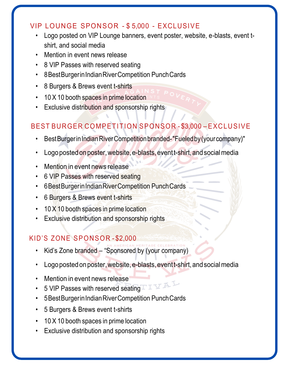#### VIP LOUNGE SPONSOR - \$ 5,000 - EXCLUSIVE

- Logo posted on VIP Lounge banners, event poster, website, e-blasts, event tshirt, and social media
- Mention in event news release
- 8 VIP Passes with reserved seating
- 8BestBurgerinIndianRiverCompetition PunchCards
- 8 Burgers & Brews event t-shirts
- 10 X 10 booth spaces in prime location
- Exclusive distribution and sponsorship rights

## BEST BURGER COMPETITION SPONSOR - \$3,000 – EXCLUSIVE

- BestBurgerinIndianRiverCompetitionbranded-"Fueledby(yourcompany)"
- Logo posted on poster, website, e-blasts, event t-shirt, and social media
- Mention in event news release
- 6 VIP Passes with reserved seating
- 6BestBurgerinIndianRiverCompetition PunchCards
- 6 Burgers & Brews event t-shirts
- 10 X 10 booth spaces in prime location
- Exclusive distribution and sponsorship rights

## KID'S ZONE SPONSOR-\$2,000

- Kid's Zone branded "Sponsored by (your company)
- Logo posted on poster, website, e-blasts, event t-shirt, and social media
- Mention in event news release
- 5 VIP Passes with reserved seating  $\Box$
- 5BestBurgerinIndianRiverCompetition PunchCards
- 5 Burgers & Brews event t-shirts
- 10 X 10 booth spaces in prime location
- Exclusive distribution and sponsorship rights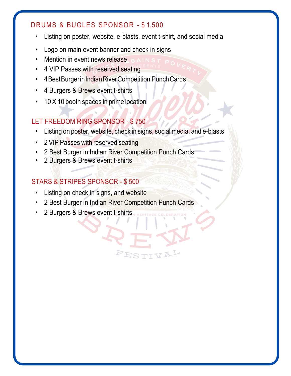#### DRUMS & BUGLES SPONSOR - \$ 1,500

- Listing on poster, website, e-blasts, event t-shirt, and social media
- Logo on main event banner and check in signs
- Mention in event news release
- 4 VIP Passes with reserved seating
- 4 Best Burger in Indian River Competition Punch Cards
- 4 Burgers & Brews event t-shirts
- 10 X 10 booth spaces in prime location

### LET FREEDOM RING SPONSOR - \$ 750

• Listing on poster, website, check in signs, socialmedia, and e-blasts

ESTI

- 2 VIP Passes with reserved seating
- 2 Best Burger in Indian River Competition Punch Cards
- 2 Burgers & Brews event t-shirts

#### STARS & STRIPES SPONSOR - \$ 500

- Listing on check in signs, and website
- 2 Best Burger in Indian River Competition Punch Cards
- 2 Burgers & Brews event t-shirts